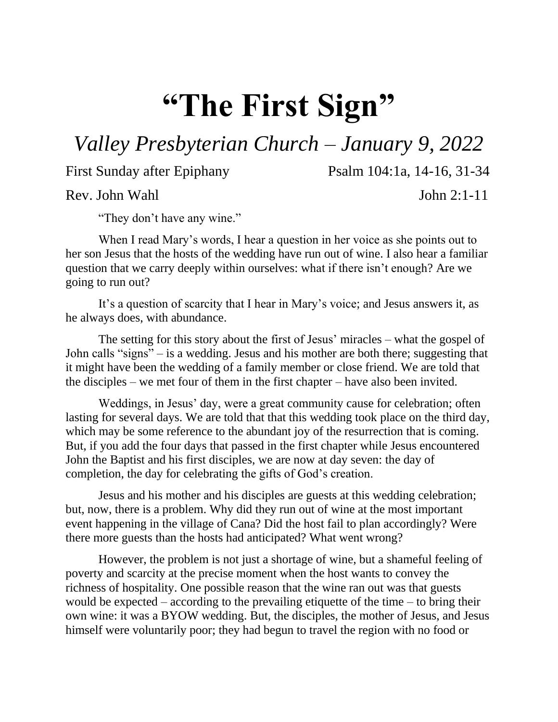## **"The First Sign"**

*Valley Presbyterian Church – January 9, 2022*

First Sunday after Epiphany Psalm 104:1a, 14-16, 31-34

Rev. John Wahl John 2:1-11

"They don't have any wine."

When I read Mary's words, I hear a question in her voice as she points out to her son Jesus that the hosts of the wedding have run out of wine. I also hear a familiar question that we carry deeply within ourselves: what if there isn't enough? Are we going to run out?

It's a question of scarcity that I hear in Mary's voice; and Jesus answers it, as he always does, with abundance.

The setting for this story about the first of Jesus' miracles – what the gospel of John calls "signs" – is a wedding. Jesus and his mother are both there; suggesting that it might have been the wedding of a family member or close friend. We are told that the disciples – we met four of them in the first chapter – have also been invited.

Weddings, in Jesus' day, were a great community cause for celebration; often lasting for several days. We are told that that this wedding took place on the third day, which may be some reference to the abundant joy of the resurrection that is coming. But, if you add the four days that passed in the first chapter while Jesus encountered John the Baptist and his first disciples, we are now at day seven: the day of completion, the day for celebrating the gifts of God's creation.

Jesus and his mother and his disciples are guests at this wedding celebration; but, now, there is a problem. Why did they run out of wine at the most important event happening in the village of Cana? Did the host fail to plan accordingly? Were there more guests than the hosts had anticipated? What went wrong?

However, the problem is not just a shortage of wine, but a shameful feeling of poverty and scarcity at the precise moment when the host wants to convey the richness of hospitality. One possible reason that the wine ran out was that guests would be expected – according to the prevailing etiquette of the time – to bring their own wine: it was a BYOW wedding. But, the disciples, the mother of Jesus, and Jesus himself were voluntarily poor; they had begun to travel the region with no food or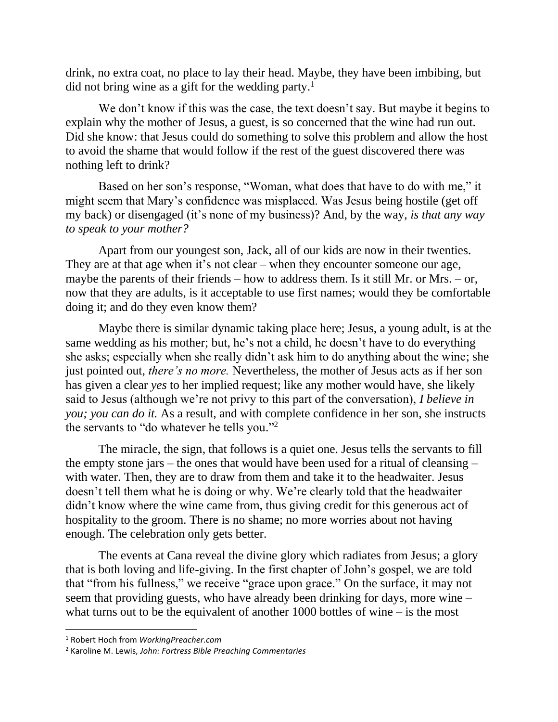drink, no extra coat, no place to lay their head. Maybe, they have been imbibing, but did not bring wine as a gift for the wedding party.<sup>1</sup>

We don't know if this was the case, the text doesn't say. But maybe it begins to explain why the mother of Jesus, a guest, is so concerned that the wine had run out. Did she know: that Jesus could do something to solve this problem and allow the host to avoid the shame that would follow if the rest of the guest discovered there was nothing left to drink?

Based on her son's response, "Woman, what does that have to do with me," it might seem that Mary's confidence was misplaced. Was Jesus being hostile (get off my back) or disengaged (it's none of my business)? And, by the way, *is that any way to speak to your mother?* 

Apart from our youngest son, Jack, all of our kids are now in their twenties. They are at that age when it's not clear – when they encounter someone our age, maybe the parents of their friends – how to address them. Is it still Mr. or Mrs. – or, now that they are adults, is it acceptable to use first names; would they be comfortable doing it; and do they even know them?

Maybe there is similar dynamic taking place here; Jesus, a young adult, is at the same wedding as his mother; but, he's not a child, he doesn't have to do everything she asks; especially when she really didn't ask him to do anything about the wine; she just pointed out, *there's no more.* Nevertheless, the mother of Jesus acts as if her son has given a clear *yes* to her implied request; like any mother would have, she likely said to Jesus (although we're not privy to this part of the conversation), *I believe in you; you can do it.* As a result, and with complete confidence in her son, she instructs the servants to "do whatever he tells you." 2

The miracle, the sign, that follows is a quiet one. Jesus tells the servants to fill the empty stone jars – the ones that would have been used for a ritual of cleansing – with water. Then, they are to draw from them and take it to the headwaiter. Jesus doesn't tell them what he is doing or why. We're clearly told that the headwaiter didn't know where the wine came from, thus giving credit for this generous act of hospitality to the groom. There is no shame; no more worries about not having enough. The celebration only gets better.

The events at Cana reveal the divine glory which radiates from Jesus; a glory that is both loving and life-giving. In the first chapter of John's gospel, we are told that "from his fullness," we receive "grace upon grace." On the surface, it may not seem that providing guests, who have already been drinking for days, more wine – what turns out to be the equivalent of another  $1000$  bottles of wine – is the most

l

<sup>1</sup> Robert Hoch from *WorkingPreacher.com*

<sup>2</sup> Karoline M. Lewis, *John: Fortress Bible Preaching Commentaries*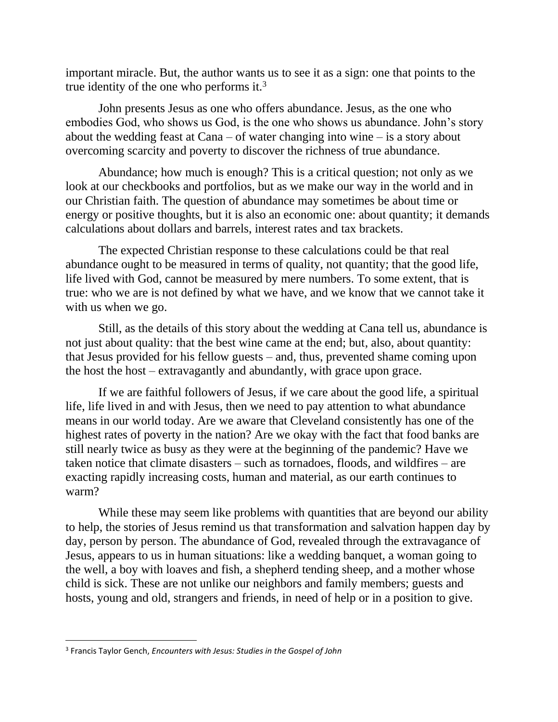important miracle. But, the author wants us to see it as a sign: one that points to the true identity of the one who performs it.<sup>3</sup>

John presents Jesus as one who offers abundance. Jesus, as the one who embodies God, who shows us God, is the one who shows us abundance. John's story about the wedding feast at Cana – of water changing into wine – is a story about overcoming scarcity and poverty to discover the richness of true abundance.

Abundance; how much is enough? This is a critical question; not only as we look at our checkbooks and portfolios, but as we make our way in the world and in our Christian faith. The question of abundance may sometimes be about time or energy or positive thoughts, but it is also an economic one: about quantity; it demands calculations about dollars and barrels, interest rates and tax brackets.

The expected Christian response to these calculations could be that real abundance ought to be measured in terms of quality, not quantity; that the good life, life lived with God, cannot be measured by mere numbers. To some extent, that is true: who we are is not defined by what we have, and we know that we cannot take it with us when we go.

Still, as the details of this story about the wedding at Cana tell us, abundance is not just about quality: that the best wine came at the end; but, also, about quantity: that Jesus provided for his fellow guests – and, thus, prevented shame coming upon the host the host – extravagantly and abundantly, with grace upon grace.

If we are faithful followers of Jesus, if we care about the good life, a spiritual life, life lived in and with Jesus, then we need to pay attention to what abundance means in our world today. Are we aware that Cleveland consistently has one of the highest rates of poverty in the nation? Are we okay with the fact that food banks are still nearly twice as busy as they were at the beginning of the pandemic? Have we taken notice that climate disasters – such as tornadoes, floods, and wildfires – are exacting rapidly increasing costs, human and material, as our earth continues to warm?

While these may seem like problems with quantities that are beyond our ability to help, the stories of Jesus remind us that transformation and salvation happen day by day, person by person. The abundance of God, revealed through the extravagance of Jesus, appears to us in human situations: like a wedding banquet, a woman going to the well, a boy with loaves and fish, a shepherd tending sheep, and a mother whose child is sick. These are not unlike our neighbors and family members; guests and hosts, young and old, strangers and friends, in need of help or in a position to give.

 $\overline{\phantom{a}}$ 

<sup>3</sup> Francis Taylor Gench, *Encounters with Jesus: Studies in the Gospel of John*